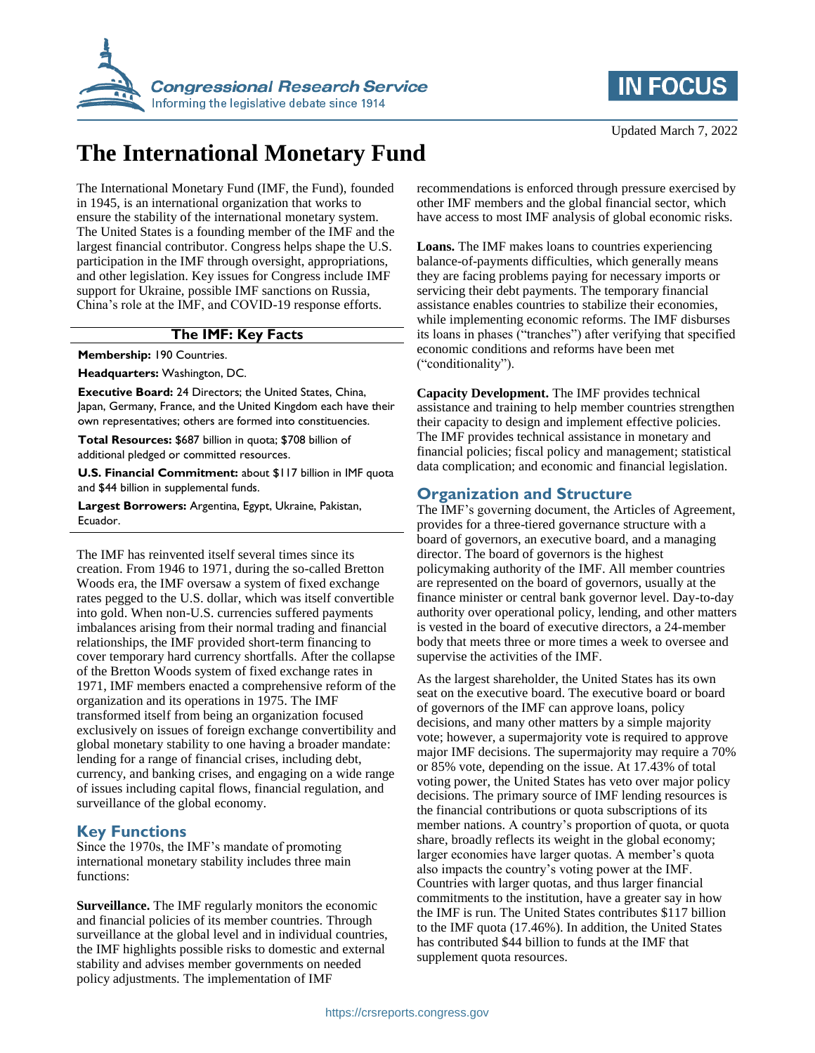



# **The International Monetary Fund**

The International Monetary Fund (IMF, the Fund), founded in 1945, is an international organization that works to ensure the stability of the international monetary system. The United States is a founding member of the IMF and the largest financial contributor. Congress helps shape the U.S. participation in the IMF through oversight, appropriations, and other legislation. Key issues for Congress include IMF support for Ukraine, possible IMF sanctions on Russia, China's role at the IMF, and COVID-19 response efforts.

#### **The IMF: Key Facts**

**Membership:** 190 Countries.

**Headquarters:** Washington, DC.

**Executive Board:** 24 Directors; the United States, China, Japan, Germany, France, and the United Kingdom each have their own representatives; others are formed into constituencies.

**Total Resources:** \$687 billion in quota; \$708 billion of additional pledged or committed resources.

**U.S. Financial Commitment:** about \$117 billion in IMF quota and \$44 billion in supplemental funds.

**Largest Borrowers:** Argentina, Egypt, Ukraine, Pakistan, Ecuador.

The IMF has reinvented itself several times since its creation. From 1946 to 1971, during the so-called Bretton Woods era, the IMF oversaw a system of fixed exchange rates pegged to the U.S. dollar, which was itself convertible into gold. When non-U.S. currencies suffered payments imbalances arising from their normal trading and financial relationships, the IMF provided short-term financing to cover temporary hard currency shortfalls. After the collapse of the Bretton Woods system of fixed exchange rates in 1971, IMF members enacted a comprehensive reform of the organization and its operations in 1975. The IMF transformed itself from being an organization focused exclusively on issues of foreign exchange convertibility and global monetary stability to one having a broader mandate: lending for a range of financial crises, including debt, currency, and banking crises, and engaging on a wide range of issues including capital flows, financial regulation, and surveillance of the global economy.

#### **Key Functions**

Since the 1970s, the IMF's mandate of promoting international monetary stability includes three main functions:

**Surveillance.** The IMF regularly monitors the economic and financial policies of its member countries. Through surveillance at the global level and in individual countries, the IMF highlights possible risks to domestic and external stability and advises member governments on needed policy adjustments. The implementation of IMF

recommendations is enforced through pressure exercised by other IMF members and the global financial sector, which have access to most IMF analysis of global economic risks.

**Loans.** The IMF makes loans to countries experiencing balance-of-payments difficulties, which generally means they are facing problems paying for necessary imports or servicing their debt payments. The temporary financial assistance enables countries to stabilize their economies, while implementing economic reforms. The IMF disburses its loans in phases ("tranches") after verifying that specified economic conditions and reforms have been met ("conditionality").

**Capacity Development.** The IMF provides technical assistance and training to help member countries strengthen their capacity to design and implement effective policies. The IMF provides technical assistance in monetary and financial policies; fiscal policy and management; statistical data complication; and economic and financial legislation.

#### **Organization and Structure**

The IMF's governing document, the Articles of Agreement, provides for a three-tiered governance structure with a board of governors, an executive board, and a managing director. The board of governors is the highest policymaking authority of the IMF. All member countries are represented on the board of governors, usually at the finance minister or central bank governor level. Day-to-day authority over operational policy, lending, and other matters is vested in the board of executive directors, a 24-member body that meets three or more times a week to oversee and supervise the activities of the IMF.

As the largest shareholder, the United States has its own seat on the executive board. The executive board or board of governors of the IMF can approve loans, policy decisions, and many other matters by a simple majority vote; however, a supermajority vote is required to approve major IMF decisions. The supermajority may require a 70% or 85% vote, depending on the issue. At 17.43% of total voting power, the United States has veto over major policy decisions. The primary source of IMF lending resources is the financial contributions or quota subscriptions of its member nations. A country's proportion of quota, or quota share, broadly reflects its weight in the global economy; larger economies have larger quotas. A member's quota also impacts the country's voting power at the IMF. Countries with larger quotas, and thus larger financial commitments to the institution, have a greater say in how the IMF is run. The United States contributes \$117 billion to the IMF quota (17.46%). In addition, the United States has contributed \$44 billion to funds at the IMF that supplement quota resources.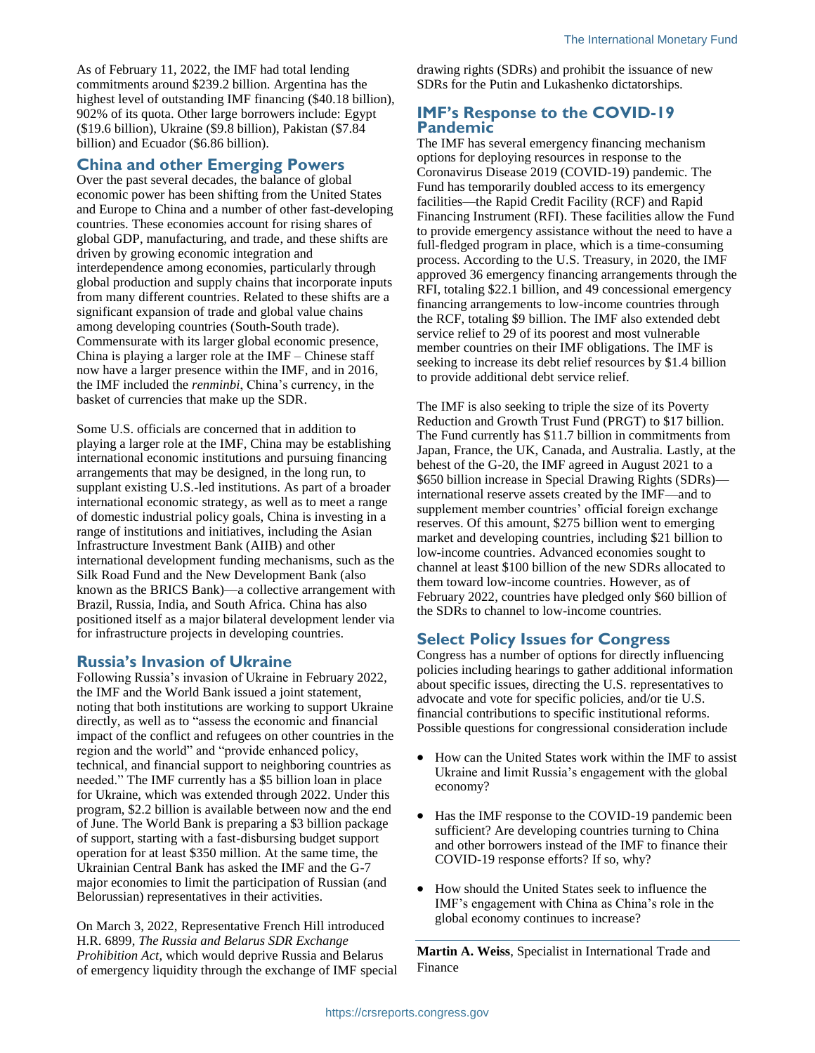As of February 11, 2022, the IMF had total lending commitments around \$239.2 billion. Argentina has the highest level of outstanding IMF financing (\$40.18 billion), 902% of its quota. Other large borrowers include: Egypt (\$19.6 billion), Ukraine (\$9.8 billion), Pakistan (\$7.84 billion) and Ecuador (\$6.86 billion).

#### **China and other Emerging Powers**

Over the past several decades, the balance of global economic power has been shifting from the United States and Europe to China and a number of other fast-developing countries. These economies account for rising shares of global GDP, manufacturing, and trade, and these shifts are driven by growing economic integration and interdependence among economies, particularly through global production and supply chains that incorporate inputs from many different countries. Related to these shifts are a significant expansion of trade and global value chains among developing countries (South-South trade). Commensurate with its larger global economic presence, China is playing a larger role at the IMF – Chinese staff now have a larger presence within the IMF, and in 2016, the IMF included the *renminbi*, China's currency, in the basket of currencies that make up the SDR.

Some U.S. officials are concerned that in addition to playing a larger role at the IMF, China may be establishing international economic institutions and pursuing financing arrangements that may be designed, in the long run, to supplant existing U.S.-led institutions. As part of a broader international economic strategy, as well as to meet a range of domestic industrial policy goals, China is investing in a range of institutions and initiatives, including the Asian Infrastructure Investment Bank (AIIB) and other international development funding mechanisms, such as the Silk Road Fund and the New Development Bank (also known as the BRICS Bank)—a collective arrangement with Brazil, Russia, India, and South Africa. China has also positioned itself as a major bilateral development lender via for infrastructure projects in developing countries.

#### **Russia's Invasion of Ukraine**

Following Russia's invasion of Ukraine in February 2022, the IMF and the World Bank issued a joint statement, noting that both institutions are working to support Ukraine directly, as well as to "assess the economic and financial impact of the conflict and refugees on other countries in the region and the world" and "provide enhanced policy, technical, and financial support to neighboring countries as needed." The IMF currently has a \$5 billion loan in place for Ukraine, which was extended through 2022. Under this program, \$2.2 billion is available between now and the end of June. The World Bank is preparing a \$3 billion package of support, starting with a fast-disbursing budget support operation for at least \$350 million. At the same time, the Ukrainian Central Bank has asked the IMF and the G-7 major economies to limit the participation of Russian (and Belorussian) representatives in their activities.

On March 3, 2022, Representative French Hill introduced H.R. 6899, *The Russia and Belarus SDR Exchange Prohibition Act*, which would deprive Russia and Belarus of emergency liquidity through the exchange of IMF special drawing rights (SDRs) and prohibit the issuance of new SDRs for the Putin and Lukashenko dictatorships.

#### **IMF's Response to the COVID-19 Pandemic**

The IMF has several emergency financing mechanism options for deploying resources in response to the Coronavirus Disease 2019 (COVID-19) pandemic. The Fund has temporarily doubled access to its emergency facilities—the Rapid Credit Facility (RCF) and Rapid Financing Instrument (RFI). These facilities allow the Fund to provide emergency assistance without the need to have a full-fledged program in place, which is a time-consuming process. According to the U.S. Treasury, in 2020, the IMF approved 36 emergency financing arrangements through the RFI, totaling \$22.1 billion, and 49 concessional emergency financing arrangements to low-income countries through the RCF, totaling \$9 billion. The IMF also extended debt service relief to 29 of its poorest and most vulnerable member countries on their IMF obligations. The IMF is seeking to increase its debt relief resources by \$1.4 billion to provide additional debt service relief.

The IMF is also seeking to triple the size of its Poverty Reduction and Growth Trust Fund (PRGT) to \$17 billion. The Fund currently has \$11.7 billion in commitments from Japan, France, the UK, Canada, and Australia. Lastly, at the behest of the G-20, the IMF agreed in August 2021 to a \$650 billion increase in Special Drawing Rights (SDRs) international reserve assets created by the IMF—and to supplement member countries' official foreign exchange reserves. Of this amount, \$275 billion went to emerging market and developing countries, including \$21 billion to low-income countries. Advanced economies sought to channel at least \$100 billion of the new SDRs allocated to them toward low-income countries. However, as of February 2022, countries have pledged only \$60 billion of the SDRs to channel to low-income countries.

### **Select Policy Issues for Congress**

Congress has a number of options for directly influencing policies including hearings to gather additional information about specific issues, directing the U.S. representatives to advocate and vote for specific policies, and/or tie U.S. financial contributions to specific institutional reforms. Possible questions for congressional consideration include

- How can the United States work within the IMF to assist Ukraine and limit Russia's engagement with the global economy?
- Has the IMF response to the COVID-19 pandemic been sufficient? Are developing countries turning to China and other borrowers instead of the IMF to finance their COVID-19 response efforts? If so, why?
- How should the United States seek to influence the IMF's engagement with China as China's role in the global economy continues to increase?

**Martin A. Weiss**, Specialist in International Trade and Finance